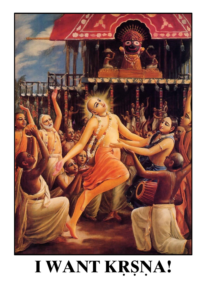# I WANT KRȘŅA!

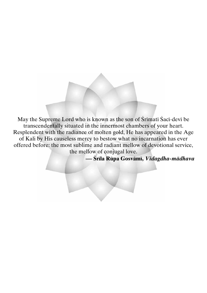May the Supreme Lord who is known as the son of Śrimati Śaci-devi be transcendentally situated in the innermost chambers of your heart. Resplendent with the radiance of molten gold, He has appeared in the Age of Kali by His causeless mercy to bestow what no incarnation has ever offered before: the most sublime and radiant mellow of devotional service, the mellow of conjugal love.

⎯ **Çréla Rüpa Gosvämé,** *Vidagdha-mädhava*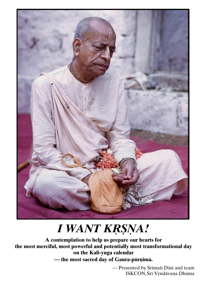

## *I WANT KRȘNA!*

**A contemplation to help us prepare our hearts for the most merciful, most powerful and potentially most transformational day on the Kali-yuga calendar** 

 $-$  the most sacred day of Gaura-pūrņimā.

- Presented by Śrīmatī Dāsī and team ISKCON, Srī Vrndāvana Dhāma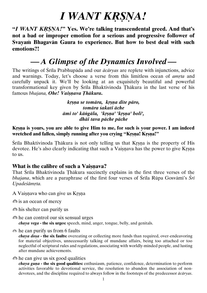## *I WANT KRSNA!*

"*I WANT KRSNA!*" Yes. We're talking transcendental greed. And that's **not a bad or improper emotion for a serious and progressive follower of Svayaà Bhagavän Gaura to experience. But how to best deal with such emotions?!**

## $-\rightarrow$  *A Glimpse of the Dynamics Involved* —

The writings of Srila Prabhupāda and our *ācāryas* are replete with injunctions, advice and warnings. Today, let's choose a verse from this limitless ocean of *amrta* and carefully unpack it. We'll be looking at an exquisitely beautiful and powerful transformational key given by Srila Bhaktivinoda Thākura in the last verse of his famous *bhajana*, *Ohe! Vaisnava Thākura*.

> *kåñëa se tomära, kåñëa dite päro, tomära çakati äche*  $\bar{a}$ mi to' kāṅgāla, 'krsna' 'krsna' boli', *dhäi tava päche päche*

#### Krsna is yours, you are able to give Him to me, for such is your power. I am indeed **wretched and fallen, simply running after you crying "Krsna! Krsna!"**

Srila Bhaktivinoda Thākura is not only telling us that Krsna is the property of His devotee. He's also clearly indicating that such a Vaisnava has the power to give Krsna to us.

#### **What is the calibre of such a Vaisnava?**

That Srila Bhaktivinoda Thākura succinctly explains in the first three verses of the *bhajana*, which are a paraphrase of the first four verses of Srila Rūpa Gosvāmi's *Sri*  $Upadešāmrta.$ 

A Vaisnava who can give us Krsna

 $\mathbb{S}^{\mathbb{S}}$  **is an ocean of mercy** 

- his shelter can purify us
- **EV** he can control our six sensual urges *chaya vega* **- the six urges:** speech, mind, anger, tongue, belly, and genitals.
- he can purify us from 6 faults

*chava dosa* **- the six faults:** overeating or collecting more funds than required, over-endeavoring for material objectives, unnecessarily talking of mundane affairs, being too attached or too neglectful of scriptural rules and regulations, associating with worldly-minded people, and lusting after mundane achievements.

**EXECUTE:** the can give us six good qualities

*chaya guna* - the six good qualities: enthusiasm, patience, confidence, determination to perform activities favorable to devotional service, the resolution to abandon the association of nondevotees, and the discipline required to always follow in the footsteps of the predecessor *äcäryas*.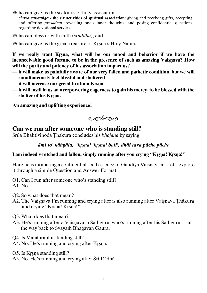- **EXA** he can give us the six kinds of holy association *chaya sat-saìga* **- the six activities of spiritual association:** giving and receiving gifts, accepting and offering *prasädam*, revealing one's inner thoughts, and posing confidential questions regarding devotional service.
- he can bless us with faith (*çraddhä*), and
- **EX** he can give us the great treasure of Krsna's Holy Name.

If we really want Krsna, what will be our mood and behavior if we have the **inconceivable good fortune to be in the presence of such as amazing Vaisnava? How will the purity and potency of his association impact us?**

- $\frac{1}{1}$  it will make us painfully aware of our very fallen and pathetic condition, but we will **simultaneously feel blissful and sheltered**
- $\frac{1}{\sqrt{1}}$  it will increase our greed to attain Krsna
- it will instil in us an overpowering eagerness to gain his mercy, to be blessed with the shelter of his Krsna.

**An amazing and uplifting experience!**

conno

#### **Can we run after someone who is standing still?**

Śrīla Bhaktivinoda Thākura concludes his *bhajana* by saying

*ämi to' käìgäla, 'kåñëa' 'kåñëa' boli', dhäi tava päche päche*

#### I am indeed wretched and fallen, simply running after you crying "Krsna! Krsna!"

Here he is intimating a confidential seed essence of Gaudiya Vaisnavism. Let's explore it through a simple Question and Answer Format.

Q1. Can I run after someone who's standing still?

A1. No.

- Q2. So what does that mean?
- A2. The Vaisnava I'm running and crying after is also running after Vaisnava Thākura and crying "Krsna! Krsna!"
- Q3. What does that mean?
- A3. He's running after a Vaisnava, a Sad-guru, who's running after his Sad-guru all the way back to Svayam Bhagavān Gaura.
- Q4. Is Mahäprabhu standing still?
- A4. No. He's running and crying after Krsna.
- Q5. Is Krsna standing still?
- A5. No. He's running and crying after Śrī Rādhā.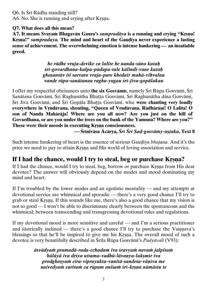Q6. Is Śrī Rādha standing still?

A6. No. She is running and crying after Krsna.

#### **Q7. What does all this mean?**

A7. It means Svayam Bhagavān Gaura's *sampradāya* is a running and crying "Krsna! **Krsna!"** *sampradaya.* The mind and heart of the Gaudiya never experience a lasting **sense of achievement. The overwhelming emotion is intense hankering — an insatiable greed.**

> *he rädhe vraja-devike ca lalite he nanda-süno kutaù çré-govardhana-kalpa-pädapa-tale kälindé-vane kutaù ghoñantäv iti sarvato vraja-pure khedair mahä-vihvalau vande rüpa-sanätanau raghu-yugau çré-jéva-gopälakau*

I offer my respectful obeisances unto **the six Gosvāmis**, namely Śrī Rūpa Gosvāmī, Śrī Sanātana Gosvāmī, Šrī Raghunātha Bhatta Gosvāmī, Šrī Raghunātha dāsa Gosvāmī, Śri Jiva Gosvāmi, and Śri Gopāla Bhatta Gosvāmi, who **were chanting very loudly everywhere in Vrndävana, shouting, "Queen of Vrndävana, Rädhäräni! O Lalita! O son of Nanda Mahäräja! Where are you all now? Are you just on the hill of Govardhana, or are you under the trees on the bank of the Yamunä? Where are you?"** These were their moods in executing Krsna consciousness.

⎯ **Çréniväsa Äcärya,** *Çré Çré Ñaò-gosvämy-añöaka***, Text 8**

Such intense hankering of heart is the essence of serious Gaudiya *bhajana*. And it's the price we need to pay to attain Krsna and His world of loving association and service.

## **If** I had the chance, would I try to steal, beg or purchase Krsna?

If I had the chance, would I try to steal, beg, borrow or purchase Krsna from His dear devotee? The answer will obviously depend on the modes and mood dominating my mind and heart.

If I'm troubled by the lower modes and an egotistic mentality — and my attempts at devotional service are whimsical and sporadic — there's a very good chance I'll try to grab or steal Krsna. If this sounds like me, there's also a good chance that my vision is not so good — I won't be able to discriminate clearly between the spontaneous and the whimsical; between transcending and transgressing devotional rules and regulations.

If my devotional mood is more sensitive and careful — and I'm a serious practitioner and sästrically inclined — there's a good chance I'll try to purchase the Vaisnava's blessings so that he'll be inspired to give me his Krsna. The overall mood of such a devotee is very beautifully described in Çréla Rüpa Gosvämé's *Padyävalé* (V93):

> *äsvädyaà pramadä-rada-cchadam iva çravyaà navaà jalpitaà* bālāyā iva dr*śya uttama-vadhū-lāvanya-laksmīr iva prodghosvam cira-viprayukta-vanitā-sandesa-vānīva me naivedyaà caritaà ca rüpam aniçaà çré-kåñëa nämästu te*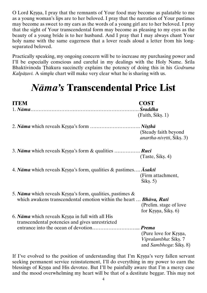O Lord Krsna, I pray that the remnants of Your food may become as palatable to me as a young woman's lips are to her beloved. I pray that the narration of Your pastimes may become as sweet to my ears as the words of a young girl are to her beloved. I pray that the sight of Your transcendental form may become as pleasing to my eyes as the beauty of a young bride is to her husband. And I pray that I may always chant Your holy name with the same eagerness that a lover reads aloud a letter from his longseparated beloved.

Practically speaking, my ongoing concern will be to increase my purchasing power and I'll be especially conscious and careful in my dealings with the Holy Name. Srila Bhaktivinoda Öhäkura succinctly explains the potency of doing this in his *Godruma Kalpāṭavī*. A simple chart will make very clear what he is sharing with us.

## *Näma's* **Transcendental Price List**

| <b>ITEM</b>                                                               | <b>COST</b><br><b>Sraddha</b>                                           |
|---------------------------------------------------------------------------|-------------------------------------------------------------------------|
|                                                                           | (Faith, Sik, 1)                                                         |
|                                                                           | (Steady faith beyond<br><i>anartha-nivrtti</i> , Siks. 3)               |
| 3. Nāma which reveals Krsņa's form & qualities  Ruci                      |                                                                         |
|                                                                           | (Taste, Siks. 4)                                                        |
| 4. Nāma which reveals Krsna's form, qualities & pastimes Asakti           | (Firm attachment,<br>Siks. 5)                                           |
| 5. Nāma which reveals Krsna's form, qualities, pastimes &                 |                                                                         |
| which awakens transcendental emotion within the heart <b>Bhava</b> , Rati | (Prelim. stage of love<br>for Krsna, Siks. 6)                           |
| 6. Nāma which reveals Krsna in full with all His                          |                                                                         |
| transcendental potencies and gives unrestricted                           |                                                                         |
|                                                                           | (Pure love for Krsna,<br>Vipralambha: Siks. 7<br>and Sambhoga: Siks. 8) |

If I've evolved to the position of understanding that I'm Krsna's very fallen servant seeking permanent service reinstatement, I'll do everything in my power to earn the blessings of Krsna and His devotee. But I'll be painfully aware that I'm a mercy case and the mood overwhelming my heart will be that of a destitute beggar. This may not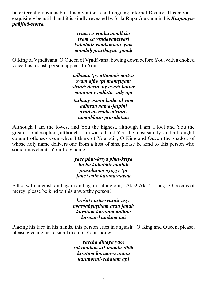be externally obvious but it is my intense and ongoing internal Reality. This mood is exquisitely beautiful and it is kindly revealed by Srila Rūpa Gosvāmi in his *Kārpanyapaïjikä-stotra.* 

> tva*m* ca vrndavanadhīśa *tvaà ca våndavaneçvari kakubhir vandamano 'yaà mandaù prarthayate janaù*

O King of Vrndävana, O Queen of Vrndävana, bowing down before You, with a choked voice this foolish person appeals to You.

> *adhamo 'py uttamaà matva svam ajïo 'pi manéñiëam çiñöaà duñöo 'py ayaà jantur mantuà vyadhita yady api tathapy asmin kadacid vaà adhéçau nama-jalpini avadya-vånda-nistarinamabhaso prasédatam*

Although I am the lowest and You the highest, although I am a fool and You the greatest philosophers, although I am wicked and You the most saintly, and although I commit offenses even when I think of You, still, O King and Queen the shadow of whose holy name delivers one from a host of sins, please be kind to this person who sometimes chants Your holy name.

> *yace phut-kåtya phut-kåtya ha ha kakubhir akulaù prasédatam ayogye 'pi jane 'smin karunarnavau*

Filled with anguish and again and again calling out, "Alas! Alas!" I beg: O oceans of mercy, please be kind to this unworthy person!

> *kroçaty arta-svarair asye nyasyaìguñöham asau janaù kurutaà kurutaà nathau karuna-kanikam api*

Placing his face in his hands, this person cries in anguish: O King and Queen, please, please give me just a small drop of Your mercy!

> *vaceha dénaya yace sakrandam ati-manda-dhéù kirataà karuna-svantau karunormi-cchaöam api*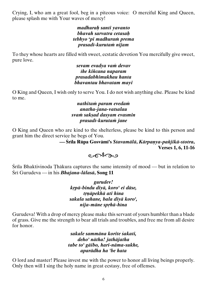Crying, I, who am a great fool, beg in a piteous voice: O merciful King and Queen, please splash me with Your waves of mercy!

> *madhuraù santi yavanto bhavah sarvatra cetasaù tebhyo 'pi madhuraà prema prasadé-kurutaà nijam*

To they whose hearts are filled with sweet, ecstatic devotion You mercifully give sweet, pure love.

> *sevam evadya vaà devav éhe kiïcana naparam prasadabhimukhau hanta bhavantau bhavatam mayi*

O King and Queen, I wish only to serve You. I do not wish anything else. Please be kind to me.

#### *nathitaà param evedaà anatha-jana-vatsalau svaà sakñad dasyam evasmin prasadé-kurutaà jane*

O King and Queen who are kind to the shelterless, please be kind to this person and grant him the direct service he begs of You.

> $\frac{1}{2}$  **Krila Rüpa Gosvāmī's Stavamālā, Kārpanya-pañjikā-stotra, Verses 1, 6, 11-16**

#### $R_{\text{max}}$

Srila Bhaktivinoda Thākura captures the same intensity of mood — but in relation to Śrī Gurudeva — in his **Bhajana-lālasā**, Song 11

> *gurudev! kåpä-bindu diyä, koro' ei däse, tåëäpekhä ati héna sakala sahane, bala diyä koro', nija-māne sprhā-hīna*

Gurudeva! With a drop of mercy please make this servant of yours humbler than a blade of grass. Give me the strength to bear all trials and troubles, and free me from all desire for honor.

> *sakale sammäna korite çakati, deho' nätha! jathäjatha tabe to' gäibo, hari-näma-sukhe, aparädha ha 'be hata*

O lord and master! Please invest me with the power to honor all living beings properly. Only then will I sing the holy name in great ecstasy, free of offenses.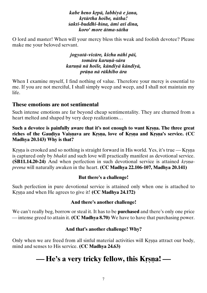#### *kabe heno kåpä, labhiyä e jana, kåtärtha hoibe, nätha! çakti-buddhi-héna, ämi ati déna, koro' more ätma-sätha*

O lord and master! When will your mercy bless this weak and foolish devotee? Please make me your beloved servant.

> *jogyatä-vicäre, kichu nähi päi, tomāra karunā-sāra karuëä nä hoile, kändiyä kändiyä, präëa nä räkhibo ära*

When I examine myself, I find nothing of value. Therefore your mercy is essential to me. If you are not merciful, I shall simply weep and weep, and I shall not maintain my life.

#### **These emotions are not sentimental**

Such intense emotions are far beyond cheap sentimentality. They are churned from a heart melted and shaped by very deep realizations…

#### Such a devotee is painfully aware that it's not enough to want Krsna. The three great riches of the Gaudiya Vaisnava are Krsna, love of Krsna and Krsna's service. (CC **Madhya 20.143) Why is that?**

Krsna is crooked and so nothing is straight forward in His world. Yes, it's true  $-Krsn$ is captured only by *bhakti* and such love will practically manifest as devotional service. **(SB11.14.20-24)** And when perfection in such devotional service is attained *krsnaprema* will naturally awaken in the heart. **(CC Madhya 22.106-107, Madhya 20.141)**

#### **But there's a challenge!**

Such perfection in pure devotional service is attained only when one is attached to Krsna and when He agrees to give it! **(CC Madhya 24.172)** 

#### **And there's another challenge!**

We can't really beg, borrow or steal it. It has to be **purchased** and there's only one price — intense greed to attain it. **(CC Madhya 8.70)** We have to have that purchasing power.

#### **And that's another challenge! Why?**

Only when we are freed from all sinful material activities will Krsna attract our body, mind and senses to His service. **(CC Madhya 24.63)**

## $-$  He's a very tricky fellow, this Krsna!  $-$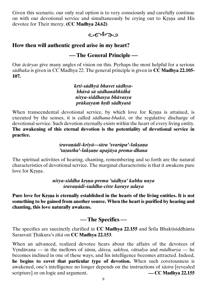Given this scenario, our only real option is to very consciously and carefully continue on with our devotional service and simultaneously be crying out to Krsna and His devotee for Their mercy. **(CC Madhya 24.62)**

 $85222$ 

#### **How then will authentic greed arise in my heart?**

 $\overline{\phantom{a}}$  The General Principle —

Our *äcäryas* give many angles of vision on this. Perhaps the most helpful for a serious *sädhaka* is given in CC Madhya 22. The general principle is given in **CC Madhya 22.105- 107.**

> *kåti-sädhyä bhavet sädhyabhävä sä sädhanäbhidhä nitya-siddhasya bhävasya präkaöyaà hådi sädhyatä*

When transcendental devotional service, by which love for Krsna is attained, is executed by the senses, it is called *sädhana-bhakti*, or the regulative discharge of devotional service. Such devotion eternally exists within the heart of every living entity. **The awakening of this eternal devotion is the potentiality of devotional service in practice.**

#### *çravaëädi-kriyä—tära 'svarüpa'-lakñaëa 'taöastha'-lakñaëe upajäya prema-dhana*

The spiritual activities of hearing, chanting, remembering and so forth are the natural characteristics of devotional service. The marginal characteristic is that it awakens pure love for Krsna.

> *nitya-siddha kåñëa-prema 'sädhya' kabhu naya çravaëädi-çuddha-citte karaye udaya*

Pure love for Krsna is eternally established in the hearts of the living entities. It is not **something to be gained from another source. When the heart is purified by hearing and chanting, this love naturally awakens.**

#### $\qquad$  The Specifics –

The specifics are succinctly clarified in **CC Madhya 22.155** and Srila Bhaktisiddhänta Sarasvatī Thākura's *tīkā* on **CC Madhya 22.153**.

When an advanced, realized devotee hears about the affairs of the devotees of Våndävana — in the mellows of *çänta, däsya, sakhya, vätsalya* and *mädhurya* — he becomes inclined in one of these ways, and his intelligence becomes attracted. Indeed, **he begins to covet that particular type of devotion.** When such covetousness is awakened, one's intelligence no longer depends on the instructions of *çästra* [revealed scripture] or on logic and argument.  $\qquad -CC$  Madhya 22.155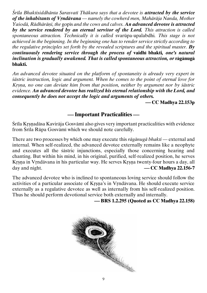*Çréla Bhaktisiddhänta Sarasvaté Öhäkura says that a devotee is attracted by the service of the inhabitants of Vrndāvana* — *namely the cowherd men, Mahārāja Nanda, Mother Yasodā, Rādhārānī, the gopis and the cows and calves. An advanced devotee is attracted by the service rendered by an eternal servitor of the Lord. This attraction is called spontaneous attraction. Technically it is called* svarüpa-upalabdhi*. This stage is not achieved in the beginning. In the beginning one has to render service strictly according to the regulative principles set forth by the revealed scriptures and the spiritual master. By continuously rendering service through the process of* **vaidhé bhakti***, one's natural inclination is gradually awakened. That is called spontaneous attraction, or* **rägänugä bhakti.**

*An advanced devotee situated on the platform of spontaneity is already very expert in çästric instruction, logic and argument. When he comes to the point of eternal love for Krsna, no one can deviate him from that position, neither by argument nor by sastric evidence. An advanced devotee has realized his eternal relationship with the Lord, and consequently he does not accept the logic and arguments of others.*

⎯ **CC Madhya 22.153p**

#### $-$ **Important Practicalities**

Śrīla Krsnadāsa Kavirāja Gosvāmī also gives very important practicalities with evidence from Śrīla Rūpa Gosvāmī which we should note carefully.

There are two processes by which one may execute this *rägänugä bhakti* — external and internal. When self-realized, the advanced devotee externally remains like a neophyte and executes all the sastric injunctions, especially those concerning hearing and chanting. But within his mind, in his original, purified, self-realized position, he serves Krsna in Vrndävana in his particular way. He serves Krsna twenty-four hours a day, all day and night.  $\qquad \qquad -CC$  **Madhya 22.156-7** 

The advanced devotee who is inclined to spontaneous loving service should follow the activities of a particular associate of Krsna's in Vrndävana. He should execute service externally as a regulative devotee as well as internally from his self-realized position. Thus he should perform devotional service both externally and internally.

#### ⎯ **BRS 1.2.295 (Quoted as CC Madhya 22.158)**

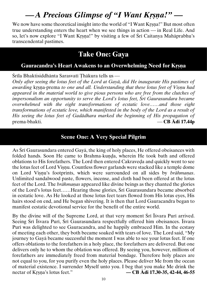## *A Precious Glimpse of "I Want Krsna!"*

We now have some theoretical insight into the world of "I Want Krsna!" But most often true understanding enters the heart when we see things in action — in Real Life. And so, let's now explore "I Want Krsna!" by visiting a few of Śrī Caitanya Mahāprabhu's transcendental pastimes.

## **Take One: Gaya**

#### **Gauracandra's Heart Awakens to an Overwhelming Need for Krsna**

Šrīla Bhaktisiddhānta Sarasvatī Thākura tells us –

*Only after seeing the lotus feet of the Lord at Gayä, did He inaugurate His pastimes of awarding krsna-prema to one and all. Understanding that these lotus feet of Visnu had appeared in the material world to give pious persons who are free from the clutches of impersonalism an opportunity to serve the Lord's lotus feet, Sri Gaurasundara became overwhelmed with the eight transformations of ecstatic love……and those eight transformations of ecstatic love, which manifested in the body of the Lord as a result of His seeing the lotus feet of Gadädhara marked the beginning of His propagation of*  prema-bhakti. **CB** Adi 17.44p

#### **Scene One: A Very Special Pilgrim**

As Sri Gaurasundara entered Gayā, the king of holy places, He offered obeisances with folded hands. Soon He came to Brahma-kunda, wherein He took bath and offered oblations to His forefathers. The Lord then entered Cakraveda and quickly went to see the lotus feet of Lord Visnu. Countless flower garlands were stacked like a temple dome on Lord Visnu's footprints, which were surrounded on all sides by *brāhmanas*. Unlimited sandalwood paste, flowers, incense, and cloth had been offered at the lotus feet of the Lord. The *brāhmanas* appeared like divine beings as they chanted the glories of the Lord's lotus feet......Hearing those glories, Sri Gaurasundara became absorbed in ecstatic love. As He looked at those lotus feet tears flowed from His lotus eyes, His hairs stood on end, and He began shivering. It is then that Lord Gauracandra began to manifest ecstatic devotional service for the benefit of the entire world.

By the divine will of the Supreme Lord, at that very moment Sri Isvara Puri arrived. Seeing Śrī Īśvara Purī, Śrī Gaurasundara respectfully offered him obeisances. Īśvara Puri was delighted to see Gauracandra, and he happily embraced Him. In the ecstasy of meeting each other, they both became soaked with tears of love. The Lord said, "My journey to Gayä became successful the moment I was able to see your lotus feet. If one offers oblations to the forefathers in a holy place, the forefathers are delivered. But one delivers only he to whom the oblation was offered. By seeing you, however, millions of forefathers are immediately freed from material bondage. Therefore holy places are not equal to you, for you purify even the holy places. Please deliver Me from the ocean of material existence. I surrender Myself unto you. I beg that you make Me drink the nectar of Krsna's lotus feet." 
<br>
— **CB Ādi 17.30-35, 42-44, 46-55**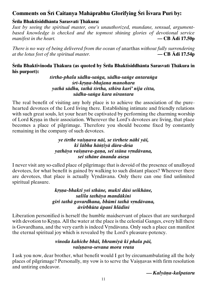### **Comments on Çré Caitanya Mahäprabhu Glorifying Çré Éçvara Puré by:**

#### **Çréla Bhaktisiddhänta Sarasvaté Öhäkura:**

*Just by seeing the spiritual master, one's unauthorized, mundane, sensual, argumentbased knowledge is checked and the topmost shining glories of devotional service manifest in the heart.* **— CB Ädi 17.50p**

*There is no way of being delivered from the ocean of* anarthas *without fully surrendering at the lotus feet of the spiritual master.* **— CB Ädi 17.54p**

#### **Çréla Bhaktivinoda Öhäkura (as quoted by Çréla Bhaktisiddhänta Sarasvaté Öhäkura in his purport):**

#### *tértha-phala sädhu-saìga, sädhu-saìge antaraìga çré-kåñëa-bhajana manohara yathä sädhu, tathä tértha, sthira kari' nija citta, sädhu-saìga kara nirantara*

The real benefit of visiting any holy place is to achieve the association of the purehearted devotees of the Lord living there. Establishing intimate and friendly relations with such great souls, let your heart be captivated by performing the charming worship of Lord Krsna in their association. Wherever the Lord's devotees are living, that place becomes a place of pilgrimage. Therefore you should become fixed by constantly remaining in the company of such devotees.

#### *ye térthe vaiñëava näi, se térthete nähi yäi, ki läbha häìöiyä düra-deça vathāva vaisnava-gana, sei stāna vrndāvana, sei sthäne änanda açeña*

I never visit any so-called place of pilgrimage that is devoid of the presence of unalloyed devotees, for what benefit is gained by walking to such distant places? Wherever there are devotees, that place is actually Vrndävana. Only there can one find unlimited spiritual pleasure.

#### *kåñëa-bhakti yei sthäne, mukti däsé seikhäne, salila tathäya mandäkiné giri tathä govardhana, bhümi tathä våndävana, ävirbhüta äpani hlädiné*

Liberation personified is herself the humble maidservant of places that are surcharged with devotion to Krsna. All the water at the place is the celestial Ganges, every hill there is Govardhana, and the very earth is indeed Vrndävana. Only such a place can manifest the eternal spiritual joy which is revealed by the Lord's pleasure-potency.

#### *vinoda kahiche bhäi, bhramiyä ki phala päi, vaiñëava-sevana mora vrata*

I ask you now, dear brother, what benefit would I get by circumambulating all the holy places of pilgrimage? Personally, my vow is to serve the Vaisnavas with firm resolution and untiring endeavor.

⎯ *Kalyäëa-kalpataru*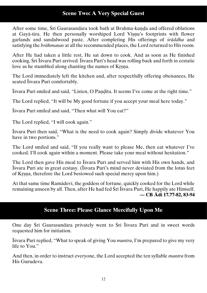#### **Scene Two: A Very Special Guest**

After some time, Sri Gaurasundara took bath at Brahma-kunda and offered oblations at Gayā-sira. He then personally worshiped Lord Visnu's footprints with flower garlands and sandalwood paste. After completing His offerings of *çräddha* and satisfying the *brāhmanas* at all the recommended places, the Lord returned to His room.

After He had taken a little rest, He sat down to cook. And as soon as He finished cooking, Sri Īśvara Puri arrived. Īśvara Puri's head was rolling back and forth in ecstatic love as he stumbled along chanting the names of Krsna.

The Lord immediately left the kitchen and, after respectfully offering obeisances, He seated Isvara Puri comfortably.

Isvara Puri smiled and said, "Listen, O Pandita. It seems I've come at the right time."

The Lord replied, "It will be My good fortune if you accept your meal here today."

Éçvara Puré smiled and said, "Then what will You eat?"

The Lord replied, "I will cook again."

Éçvara Puré then said, "What is the need to cook again? Simply divide whatever You have in two portions."

The Lord smiled and said, "If you really want to please Me, then eat whatever I've cooked. I'll cook again within a moment. Please take your meal without hesitation."

The Lord then gave His meal to Isvara Puri and served him with His own hands, and Éçvara Puré ate in great ecstasy. (Éçvara Puré's mind never deviated from the lotus feet of Krsna, therefore the Lord bestowed such special mercy upon him.)

At that same time Ramādevī, the goddess of fortune, quickly cooked for the Lord while remaining unseen by all. Then, after He had fed Śrī Īśvara Purī, He happily ate Himself. **— CB Ädi 17.77-82, 83-94**

#### **Scene Three: Please Glance Mercifully Upon Me**

One day Śri Gaurasundara privately went to Śri Īśvara Puri and in sweet words requested him for initiation.

Éçvara Puré replied, "What to speak of giving You *mantra*, I'm prepared to give my very life to You."

And then, in order to instruct everyone, the Lord accepted the ten syllable *mantra* from His Gurudeva.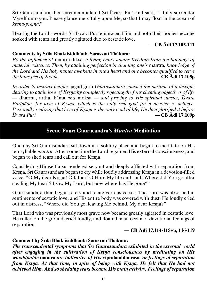Śrī Gaurasundara then circumambulated Śrī Īśvara Purī and said, "I fully surrender Myself unto you. Please glance mercifully upon Me, so that I may float in the ocean of *krsna-prema.*"

Hearing the Lord's words, Sri Isvara Puri embraced Him and both their bodies became soaked with tears and greatly agitated due to ecstatic love.

#### **— CB Ädi 17.105-111**

#### **Comments by Srila Bhaktisiddhänta Sarasvati Thäkura:**

By the influence of mantra-diks*ā*, a living entity attains freedom from the bondage of *material existence. Then, by attaining perfection in chanting one's* mantra*, knowledge of the Lord and His holy names awakens in one's heart and one becomes qualified to serve the lotus feet of Krsna.* **— CB Adi 17.105p** 

*In order to instruct people,* jagad-guru *Gaurasundara enacted the pastime of a disciple desiring to attain love of Krsna by completely rejecting the four cheating objectives of life*  $\overline{a}$  dharma, artha, kāma *and* moksa — *and praying to His spiritual master, Īśvara Puripāda, for love of Krsna, which is the only real goal for a devotee to achieve. Personally realizing that love of Krsna is the only goal of life, He then glorified it before Éçvara Puré.* **— CB Ädi 17.109p**

#### **Scene Four: Gauracandra's** *Mantra* **Meditation**

One day Sri Gaurasundara sat down in a solitary place and began to meditate on His ten-syllable *mantra*. After some time the Lord regained His external consciousness, and began to shed tears and call out for Krsna.

Considering Himself a surrendered servant and deeply afflicted with separation from Krsna, Šri Gaurasundara began to cry while loudly addressing Krsna in a devotion-filled voice, "O My dear Krsna! O father! O Hari, My life and soul! Where did You go after stealing My heart? I saw My Lord, but now where has He gone?"

Gaurasundara then began to cry and recite various verses. The Lord was absorbed in sentiments of ecstatic love, and His entire body was covered with dust. He loudly cried out in distress, "Where did You go, leaving Me behind, My dear Krsna?"

That Lord who was previously most grave now became greatly agitated in ecstatic love. He rolled on the ground, cried loudly, and floated in an ocean of devotional feelings of separation.

#### **— CB Ädi 17.114-115+p, 116-119**

#### **Comment by Srila Bhaktisiddhänta Sarasvati Thäkura:**

*The transcendental symptoms that Çré Gaurasundara exhibited in the external world after engaging in the cultivation of Krsna consciousness by meditating on His worshipable* **mantra** *are indicative of His* **vipralambha-rasa***, or feelings of separation from Krsna. At that time, in spite of being with Krsna, He felt that He had not achieved Him. And so shedding tears became His main activity. Feelings of separation*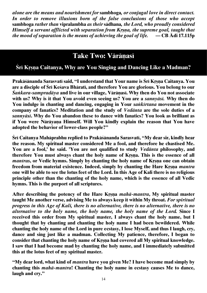*alone are the means and nourishment for* **sambhoga***, or conjugal love in direct contact. In order to remove illusions born of the false conclusions of those who accept*  **sambhoga** *rather than* **vipralambha** *as their* **sädhana***, the Lord, who proudly considered Himself a servant afflicted with separation from Krsna, the supreme goal, taught that the mood of separation is the means of achieving the goal of life.*  $\qquad$   $\qquad$   $\qquad$   $\qquad$   $\qquad$   $\qquad$   $\qquad$   $\qquad$   $\qquad$   $\qquad$   $\qquad$   $\qquad$   $\qquad$   $\qquad$   $\qquad$   $\qquad$   $\qquad$   $\qquad$   $\qquad$   $\qquad$   $\qquad$   $\qquad$   $\qquad$   $\qquad$   $\qquad$   $\$ 

## **Take Two: Väränasi**

#### **Śrī Krsna Caitanya, Why are You Singing and Dancing Like a Madman?**

**Prakäçänanda Sarasvaté said, "I understand that Your name is Çré Kåñëa Caitanya. You**  are a disciple of Sri Kesava Bhārati, and therefore You are glorious. You belong to our *<u>Sankara-sampradāya and live in our village, Vārānasī. Why then do You not associate </u>* **with us? Why is it that You avoid even seeing us? You are a** *sannyäsé.* **Why then do You indulge in chanting and dancing, engaging in Your** *saìkértana* **movement in the company of fanatics? Meditation and the study of** *Vedänta* **are the sole duties of a**  *sannyäsé***. Why do You abandon these to dance with fanatics? You look as brilliant as if You were Näräyana Himself. Will You kindly explain the reason that You have adopted the behavior of lower-class people?"**

**Çré Caitanya Mahäprabhu replied to Prakäçänanda Sarasvaté, "My dear sir, kindly hear the reason. My spiritual master considered Me a fool, and therefore he chastised Me. You are a fool,' he said. 'You are not qualified to study** *Vedänta* **philosophy, and**  therefore You must always chant the holy name of Krsna. This is the essence of all *mantras*, or Vedic hymns. Simply by chanting the holy name of Krsna one can obtain freedom from material existence. Indeed, simply by chanting the Hare Krsna *mantra* **one will be able to see the lotus feet of the Lord. In this Age of Kali there is no religious principle other than the chanting of the holy name, which is the essence of all Vedic hymns. This is the purport of all scriptures.**

After describing the potency of the Hare Krsna *mahā-mantra*, My spiritual master **taught Me another verse, advising Me to always keep it within My throat.** *For spiritual progress in this Age of Kali, there is no alternative, there is no alternative, there is no alternative to the holy name, the holy name, the holy name of the Lord.* **Since I received this order from My spiritual master, I always chant the holy name, but I thought that by chanting and chanting the holy name I had been bewildered. While chanting the holy name of the Lord in pure ecstasy, I lose Myself, and thus I laugh, cry, dance and sing just like a madman. Collecting My patience, therefore, I began to**  consider that chanting the holy name of Krsna had covered all My spiritual knowledge. **I saw that I had become mad by chanting the holy name, and I immediately submitted this at the lotus feet of my spiritual master.**

**"My dear lord, what kind of** *mantra* **have you given Me? I have become mad simply by chanting this** *mahä-mantra***! Chanting the holy name in ecstasy causes Me to dance, laugh and cry."**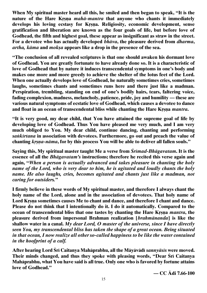**When My spiritual master heard all this, he smiled and then began to speak, "It is the nature of the Hare Krsna** *mahā-mantra* **that anyone who chants it immediately** develops his loving ecstasy for Krsna. Religiosity, economic development, sense **gratification and liberation are known as the four goals of life, but before love of Godhead, the fifth and highest goal, these appear as insignificant as straw in the street. For a devotee who has actually developed** *bhäva***, the pleasure derived from** *dharma***,**  *artha, käma* **and** *mokña* **appears like a drop in the presence of the sea.**

**"The conclusion of all revealed scriptures is that one should awaken his dormant love of Godhead. You are greatly fortunate to have already done so. It is a characteristic of love of Godhead that by nature it induces transcendental symptoms in one's body and makes one more and more greedy to achieve the shelter of the lotus feet of the Lord. When one actually develops love of Godhead, he naturally sometimes cries, sometimes laughs, sometimes chants and sometimes runs here and there just like a madman. Perspiration, trembling, standing on end of one's bodily hairs, tears, faltering voice, fading complexion, madness, melancholy, patience, pride, joy and humility — these are various natural symptoms of ecstatic love of Godhead, which causes a devotee to dance**  and float in an ocean of transcendental bliss while chanting the Hare Krsna *mantra*.

**"It is very good, my dear child, that You have attained the supreme goal of life by developing love of Godhead. Thus You have pleased me very much, and I am very much obliged to You. My dear child, continue dancing, chanting and performing**  *saìkértana* **in association with devotees. Furthermore, go out and preach the value of**  chanting *krsna-nāma*, for by this process You will be able to deliver all fallen souls."

**Saying this, My spiritual master taught Me a verse from** *Çrémad-Bhägavatam***. It is the essence of all the** *Bhägavatam's* **instructions; therefore he recited this verse again and again, "***When a person is actually advanced and takes pleasure in chanting the holy name of the Lord, who is very dear to him, he is agitated and loudly chants the holy name. He also laughs, cries, becomes agitated and chants just like a madman, not caring for outsiders.***"**

**I firmly believe in these words of My spiritual master, and therefore I always chant the holy name of the Lord, alone and in the association of devotees. That holy name of**  Lord Krsna sometimes causes Me to chant and dance, and therefore I chant and dance. **Please do not think that I intentionally do it. I do it automatically. Compared to the ocean of transcendental bliss that one tastes by chanting the Hare Krsna** *mantra***, the pleasure derived from impersonal Brahman realization [***brahmänanda***] is like the shallow water in a canal.** *My dear Lord, O master of the universe, since I have directly seen You, my transcendental bliss has taken the shape of a great ocean. Being situated in that ocean, I now realize all other so-called happiness to be like the water contained in the hoofprint of a calf.*

**After hearing Lord Çré Caitanya Mahäprabhu, all the Mäyävädé** *sannyäsés* **were moved. Their minds changed, and thus they spoke with pleasing words, "Dear Çré Caitanya Mahäprabhu, what You have said is all true. Only one who is favored by fortune attains love of Godhead."**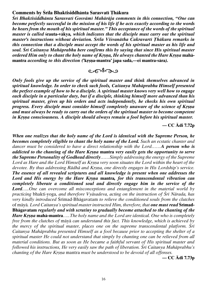#### **Comments by Çréla Bhaktisiddhänta Sarasvaté Öhäkura**

*Çré Bhaktisiddhänta Sarasvaté Gosvämé Mahäräja comments in this connection, "One can become perfectly successful in the mission of his life if he acts exactly according to the words he hears from the mouth of his spiritual master." This acceptance of the words of the spiritual master is called* **çrauta-väkya***, which indicates that the disciple must carry out the spiritual master's instructions without deviation. Śrīla Viśvanātha Cakravartī Thākura remarks in this connection that a disciple must accept the words of his spiritual master as his life and soul. Çré Caitanya Mahäprabhu here confirms this by saying that since His spiritual master ordered Him only to chant the holy name of Krsna, He always chanted the Hare Krsna mahā***mantra** *according to this direction (*'krsna-mantra' japa sadā,—ei mantra-sāra).

contro

*Only fools give up the service of the spiritual master and think themselves advanced in spiritual knowledge. In order to check such fools, Caitanya Mahäprabhu Himself presented the perfect example of how to be a disciple. A spiritual master knows very well how to engage each disciple in a particular duty, but if a disciple, thinking himself more advanced than his spiritual master, gives up his orders and acts independently, he checks his own spiritual progress. Every disciple must consider himself completely unaware of the science of Krsna and must always be ready to carry out the orders of the spiritual master to become competent in Kåñëa consciousness. A disciple should always remain a fool before his spiritual master.* Ĩ

**— CC Ädi 7.72p**

*When one realizes that the holy name of the Lord is identical with the Supreme Person, he becomes completely eligible to chant the holy name of the Lord. Such an ecstatic chanter and dancer must be considered to have a direct relationship with the Lord……A person who is addicted to the chanting of the Hare Kåñëa* **mantra** *very easily gets the opportunity to serve the Supreme Personality of Godhead directly……Simply addressing the energy of the Supreme*  Lord as Hare and the Lord Himself as Krsna very soon situates the Lord within the heart of the devotee. By thus addressing Rādhā and Krsna, one directly engages in His Lordship's service. *The essence of all revealed scriptures and all knowledge is present when one addresses the*  Lord and His energy by the Hare Krsna mantra, for this transcendental vibration can *completely liberate a conditioned soul and directly engage him in the service of the*  Lord....One can overcome all misconceptions and entanglement in the material world by *practicing* bhakti-yoga*, and therefore Vyäsadeva, acting on the instruction of Çré Närada, has very kindly introduced* Srimad-Bhāgavatam *to relieve the conditioned souls from the clutches* of mäyä*. Lord Caitanya's spiritual master instructed Him, therefore, that one must read* **Çrémad-Bhägavatam** *regularly and with scrutiny to gradually become attached to the chanting of the Hare Krsna* **mahā-mantra**<sub>*…..The holy name and the Lord are identical. One who is completely*</sub> *free from the clutches of* mäyä *can understand this fact. This knowledge, which is achieved by the mercy of the spiritual master, places one on the supreme transcendental platform. Sri Caitanya Mahäprabhu presented Himself as a fool because prior to accepting the shelter of a spiritual master He could not understand that simply by chanting one can be relieved from all material conditions. But as soon as He became a faithful servant of His spiritual master and followed his instructions, He very easily saw the path of liberation. Çré Caitanya Mahäprabhu's chanting of the Hare Krspa* mantra *must be understood to be devoid of all offenses.* 

**— CC Ädi 7.73p**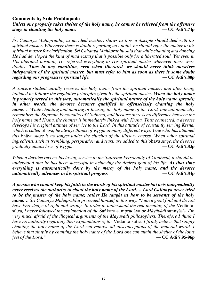#### **Comments by Śrila Prabhupāda** *Unless one properly takes shelter of the holy name, he cannot be relieved from the offensive stage in chanting the holy name.*  $-CC \tilde{A}$ di 7.74p

*Çré Caitanya Mahäprabhu, as an ideal teacher, shows us how a disciple should deal with his spiritual master. Whenever there is doubt regarding any point, he should refer the matter to his spiritual master for clarification. Çré Caitanya Mahäprabhu said that while chanting and dancing He had developed the kind of mad ecstasy that is possible only for a liberated soul. Yet even in His liberated position, He referred everything to His spiritual master whenever there were doubts. Thus in any condition, even when liberated, we should never think ourselves independent of the spiritual master, but must refer to him as soon as there is some doubt regarding our progressive spiritual life.* **— CC Ädi 7.80p**

*A sincere student aurally receives the holy name from the spiritual master, and after being initiated he follows the regulative principles given by the spiritual master. When the holy name is properly served in this way, automatically the spiritual nature of the holy name spreads; in other words, the devotee becomes qualified in offenselessly chanting the holy name…..While chanting and dancing or hearing the holy name of the Lord, one automatically remembers the Supreme Personality of Godhead, and because there is no difference between the*  holy name and Krsna, the chanter is immediately linked with Krsna. Thus connected, a devotee *develops his original attitude of service to the Lord. In this attitude of constantly serving Krsna,* which is called bhāva, he always thinks of Krsna in many different ways. One who has attained *this* bhäva *stage is no longer under the clutches of the illusory energy. When other spiritual ingredients, such as trembling, perspiration and tears, are added to this* bhäva *stage, the devotee gradually attains love of Krsna.* **—— CC Ādi 7.83p** 

*When a devotee revives his loving service to the Supreme Personality of Godhead, it should be understood that he has been successful in achieving the desired goal of his life. At that time everything is automatically done by the mercy of the holy name, and the devotee automatically advances in his spiritual progress.* **— CC Ädi 7.84p**

*A person who cannot keep his faith in the words of his spiritual master but acts independently never receives the authority to chant the holy name of the Lord…..Lord Caitanya never tried to be the master of the holy name; rather He taught us how to be servants of the holy name…..Çré Caitanya Mahäprabhu presented himself in this way: "I am a great fool and do not have knowledge of right and wrong. In order to understand the real meaning of the* Vedäntasütra*, I never followed the explanation of the* Çaìkara-sampradäya *or Mäyävädé* sannyäsés*. I'm very much afraid of the illogical arguments of the Mäyävädé philosophers. Therefore I think I have no authority regarding their explanations of the* Vedänta-sütra*. I firmly believe that simply chanting the holy name of the Lord can remove all misconceptions of the material world. I believe that simply by chanting the holy name of the Lord one can attain the shelter of the lotus feet of the Lord.*"  $-CC \bar{A}di 7.95-96p$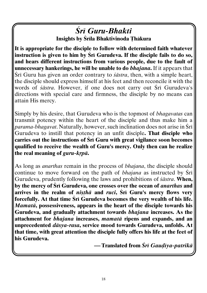## *Çré Guru-Bhakti* **Insights by Srila Bhaktivinoda Thākura**

**It is appropriate for the disciple to follow with determined faith whatever**  instruction is given to him by Sri Gurudeva. If the disciple fails to do so, **and hears different instructions from various people, due to the fault of unnecessary hankerings, he will be unable to do** *bhajana***.** If it appears that Sri Guru has given an order contrary to *sāstra*, then, with a simple heart, the disciple should express himself at his feet and then reconcile it with the words of *sāstra*. However, if one does not carry out Sri Gurudeva's directions with special care and firmness, the disciple by no means can attain His mercy.

Simply by his desire, that Gurudeva who is the topmost of *bhagavatas* can transmit potency within the heart of the disciple and thus make him a *parama-bhagavat*. Naturally, however, such inclination does not arise in Sri Gurudeva to instill that potency in an unfit disciple**. That disciple who**  carries out the instructions of Sri Guru with great vigilance soon becomes **qualified to receive the wealth of Guru's mercy. Only then can he realize the real meaning of** *guru-krpā***.** 

As long as *anarthas* remain in the process of *bhajana*, the disciple should continue to move forward on the path of *bhajana* as instructed by Sri Gurudeva, prudently following the laws and prohibitions of *çästra*. **When, by the mercy of Çré Gurudeva, one crosses over the ocean of** *anarthas* **and arrives in the realm of** *nistha* **and** *ruci***, Sri Guru's mercy flows very** forcefully. At that time Sri Gurudeva becomes the very wealth of his life. *Mamatä***, possessiveness, appears in the heart of the disciple towards his Gurudeva, and gradually attachment towards** *bhajana* **increases. As the attachment for** *bhajana* **increases,** *mamatä* **ripens and expands, and an unprecedented** *däsya-rasa***, service mood towards Gurudeva, unfolds. At that time, with great attention the disciple fully offers his life at the feet of his Gurudeva.**

⎯ **Translated from** *Çré Gauòéya-patrikä*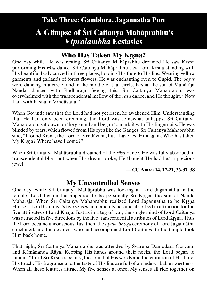**Take Three: Gambhéra, Jagannätha Puré**

## **A Glimpse of Çré Caitanya Mahäprabhu's**  *Vipralambha* **Ecstasies**

### **Who Has Taken My Krsna?**

One day while He was resting, Śrī Caitanya Mahāprabhu dreamed He saw Krsna performing His *rāsa* dance. Śrī Caitanya Mahāprabhu saw Lord Krsna standing with His beautiful body curved in three places, holding His flute to His lips. Wearing yellow garments and garlands of forest flowers, He was enchanting even to Cupid. The *gopés* were dancing in a circle, and in the middle of that circle, Krsna, the son of Mahārāja Nanda, danced with Rādhārāṇī. Seeing this, Śrī Caitanya Mahāprabhu was overwhelmed with the transcendental mellow of the *räsa* dance, and He thought, "Now I am with Krsna in Vrndävana."

When Govinda saw that the Lord had not yet risen, he awakened Him. Understanding that He had only been dreaming, the Lord was somewhat unhappy. Sri Caitanya Mahäprabhu sat down on the ground and began to mark it with His fingernails. He was blinded by tears, which flowed from His eyes like the Ganges. Sri Caitanya Mahāprabhu said, "I found Krsna, the Lord of Vrndävana, but I have lost Him again. Who has taken My Krsna? Where have I come?"

When Sri Caitanya Mahāprabhu dreamed of the *rāsa* dance, He was fully absorbed in transcendental bliss, but when His dream broke, He thought He had lost a precious jewel.

#### **— CC Antya 14. 17-21, 36-37, 38**

## **My Uncontrolled Senses**

One day, while Śrī Caitanya Mahāprabhu was looking at Lord Jagannātha in the temple, Lord Jagannätha appeared to be personally Sri Krsna, the son of Nanda Mahārāja. When Śrī Caitanya Mahāprabhu realized Lord Jagannātha to be Krsna Himself, Lord Caitanya's five senses immediately became absorbed in attraction for the five attributes of Lord Krsna. Just as in a tug-of-war, the single mind of Lord Caitanya was attracted in five directions by the five transcendental attributes of Lord Krsna. Thus the Lord became unconscious. Just then, the *upala-bhoga* ceremony of Lord Jagannätha concluded, and the devotees who had accompanied Lord Caitanya to the temple took Him back home.

That night, Šrī Caitanya Mahāprabhu was attended by Svarūpa Dāmodara Gosvāmī and Rämänanda Räya. Keeping His hands around their necks, the Lord began to lament. "Lord Sri Krsna's beauty, the sound of His words and the vibration of His flute, His touch, His fragrance and the taste of His lips are full of an indescribable sweetness. When all these features attract My five senses at once, My senses all ride together on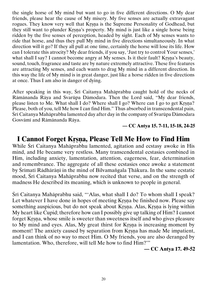the single horse of My mind but want to go in five different directions. O My dear friends, please hear the cause of My misery. My five senses are actually extravagant rogues. They know very well that Krsna is the Supreme Personality of Godhead, but they still want to plunder Krsna's property. My mind is just like a single horse being ridden by the five senses of perception, headed by sight. Each of My senses wants to ride that horse, and thus they pull My mind in five directions simultaneously. In what direction will it go? If they all pull at one time, certainly the horse will lose its life. How can I tolerate this atrocity? My dear friends, if you say, 'Just try to control Your senses,' what shall I say? I cannot become angry at My senses. Is it their fault? Krsna's beauty, sound, touch, fragrance and taste are by nature extremely attractive. These five features are attracting My senses, and each wants to drag My mind in a different direction. In this way the life of My mind is in great danger, just like a horse ridden in five directions at once. Thus I am also in danger of dying.

After speaking in this way, Sri Caitanya Mahāprabhu caught hold of the necks of Rämänanda Räya and Svarüpa Dämodara. Then the Lord said, "My dear friends, please listen to Me. What shall I do? Where shall I go? Where can I go to get Krsna? Please, both of you, tell Me how I can find Him." Thus absorbed in transcendental pain, Srī Caitanya Mahāprabhu lamented day after day in the company of Svarūpa Dāmodara Gosvāmī and Rāmānanda Rāya.

#### **— CC Antya 15. 7-11, 15-18, 24-25**

### **I Cannot Forget Krsna, Please Tell Me How to Find Him**

While Śrī Caitanya Mahāprabhu lamented, agitation and ecstasy awoke in His mind, and He became very restless. Many transcendental ecstasies combined in Him, including anxiety, lamentation, attention, eagerness, fear, determination and remembrance. The aggregate of all these ecstasies once awoke a statement by Śrīmatī Rādhārānī in the mind of Bilvamangala Thākura. In the same ecstatic mood, Srī Caitanya Mahāprabhu now recited that verse, and on the strength of madness He described its meaning, which is unknown to people in general.

Śrī Caitanya Mahāprabhu said, "'Alas, what shall I do? To whom shall I speak? Let whatever I have done in hopes of meeting Krsna be finished now. Please say something auspicious, but do not speak about Krsna. Alas, Krsna is lying within My heart like Cupid; therefore how can I possibly give up talking of Him? I cannot forget Krsna, whose smile is sweeter than sweetness itself and who gives pleasure to My mind and eyes. Alas, My great thirst for Krsna is increasing moment by moment! The anxiety caused by separation from Krsna has made Me impatient, and I can think of no way to meet Him. O My friends, you are also deranged by lamentation. Who, therefore, will tell Me how to find Him?'"

**— CC Antya 17. 49-52**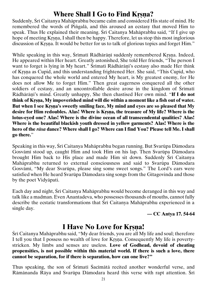## **Where Shall I Go to Find Krsna?**

Suddenly, Śrī Caitanya Mahāprabhu became calm and considered His state of mind. He remembered the words of Piìgalä, and this aroused an ecstasy that moved Him to speak. Thus He explained their meaning. Sri Caitanya Mahāprabhu said, "If I give up hope of meeting Krsna, I shall then be happy. Therefore, let us stop this most inglorious discussion of Krsna. It would be better for us to talk of glorious topics and forget Him."

While speaking in this way, Śrīmatī Rādhārānī suddenly remembered Krsna. Indeed, He appeared within Her heart. Greatly astonished, She told Her friends, "The person I want to forget is lying in My heart." Srimati Rādhārāņi's ecstasy also made Her think of Kåñëa as Cupid, and this understanding frightened Her. She said, "This Cupid, who has conquered the whole world and entered My heart, is My greatest enemy, for He does not allow Me to forget Him." Then great eagerness conquered all the other soldiers of ecstasy, and an uncontrollable desire arose in the kingdom of Srimati Rādhārānī's mind. Greatly unhappy, She then chastised Her own mind. "If I do not think of Krsna, My impoverished mind will die within a moment like a fish out of water. But when I see Krsna's sweetly smiling face, My mind and eyes are so pleased that My desire for Him redoubles. Alas! Where is Krsna, the treasure of My life? Where is the **lotus-eyed one? Alas! Where is the divine ocean of all transcendental qualities? Alas! Where is the beautiful blackish youth dressed in yellow garments? Alas! Where is the hero of the** *räsa* **dance? Where shall I go? Where can I find You? Please tell Me. I shall go there.**"

Speaking in this way, Srī Caitanya Mahāprabhu began running. But Svarūpa Dāmodara Gosvämé stood up, caught Him and took Him on his lap. Then Svarüpa Dämodara brought Him back to His place and made Him sit down. Suddenly Sri Caitanya Mahäprabhu returned to external consciousness and said to Svarüpa Dämodara Gosvāmī, "My dear Svarūpa, please sing some sweet songs." The Lord's ears were satisfied when He heard Svarūpa Dāmodara sing songs from the Gitagovinda and those by the poet Vidyäpati.

Each day and night, Sri Caitanya Mahāprabhu would become deranged in this way and talk like a madman. Even Anantadeva, who possesses thousands of mouths, cannot fully describe the ecstatic transformations that Sri Caitanya Mahāprabhu experienced in a single day.

**— CC Antya 17. 54-64**

## **I Have No Love for Krsna!**

Śrī Caitanya Mahāprabhu said, "My dear friends, you are all My life and soul; therefore I tell you that I possess no wealth of love for Krsna. Consequently My life is povertystricken. My limbs and senses are useless. **Love of Godhead, devoid of cheating propensities, is not possible within this material world. If there is such a love, there cannot be separation, for if there is separation, how can one live?"**

Thus speaking, the son of Srimati Sacimata recited another wonderful verse, and Rāmānanda Rāya and Svarūpa Dāmodara heard this verse with rapt attention. Srī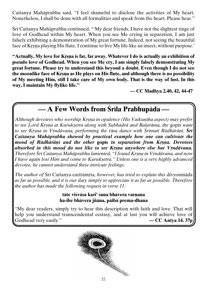Caitanya Mahäprabhu said, "I feel shameful to disclose the activities of My heart. Nonetheless, I shall be done with all formalities and speak from the heart. Please hear."

Sri Caitanya Mahāprabhu continued, "'My dear friends, I have not the slightest tinge of love of Godhead within My heart. When you see Me crying in separation, I am just falsely exhibiting a demonstration of My great fortune. Indeed, not seeing the beautiful face of Krsna playing His flute, I continue to live My life like an insect, without purpose.'

**"Actually, My love for Kåñëa is far, far away. Whatever I do is actually an exhibition of pseudo love of Godhead. When you see Me cry, I am simply falsely demonstrating My great fortune. Please try to understand this beyond a doubt. Even though I do not see**  the moonlike face of Krsna as He plays on His flute, and although there is no possibility **of My meeting Him, still I take care of My own body. That is the way of lust. In this way, I maintain My flylike life."**

**— CC Madhya 2.40, 42, 44-47**

## ⎯ **A Few Words from Çréla Prabhupäda** ⎯

Although devotees who worship Krsna in opulence (His Vaikuntha aspect) may prefer *to see Lord Krsna at Kuruksetra along with Subhadrā and Balarāma, the gopis want to see Krsna in Vrndāvana, performing the rāsa dance with Śrīmatī Rādhārānī.* **Śrī** *Caitanya Mahäprabhu showed by practical example how one can cultivate the mood of Rādhārāņī and the other gopis in separation from Krsna. Devotees absorbed in this mood do not like to see Krsna anywhere else but Vrndāvana. Therefore Çré Caitanya Mahäprabhu lamented, "I found Kåñëa in Våndävana, and now I have again lost Him and come to Kuruksetra.*<sup>"</sup> *Unless one is a very highly advanced devotee, he cannot understand these intricate feelings.*

*The author of* Sri Caitanya-caritāmrta, *however, has tried to explain this* divyonmāda *as far as possible, and it is our duty simply to appreciate it as far as possible. Therefore the author has made the following request in verse 11:*

#### tāte vi*švāsa kari' šuna bhāvera varnana* **ha-ibe bhävera jïäna, päibä prema-dhana**

*"*My dear readers, simply try to hear this description with faith and love. That will help you understand transcendental ecstasy, and at last you will achieve love of Godhead very easily." **CC Antya 14. 37p** 

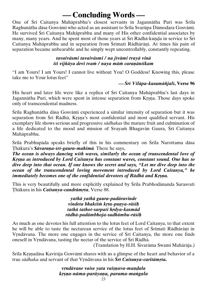## $\longrightarrow$  **Concluding Words**  $\longrightarrow$

One of Śrī Caitanya Mahāprabhu's closest servants in Jagannātha Purī was Śrīla Raghunātha dāsa Gosvāmī who acted as an assistant to Śrīla Svarūpa Dāmodara Gosvāmī. He survived Sri Caitanya Mahāprabhu and many of His other confidential associates by many, many years. And he spent most of those years at Sri Rādhā-kunda in service to Sri Caitanya Mahāprabhu and in separation from Śrīmatī Rādhārānī. At times his pain of separation became unbearable and he simply wept uncontrollably, constantly repeating.

#### *tavaiväsmi tavaiväsmi / na jévämi tvayä vinä iti vijñāya devi tvam / naya mām caranāntikam*

"I am Yours! I am Yours! I cannot live without You! O Goddess! Knowing this, please take me to Your lotus feet"

#### ⎯ *Çré Viläpa-kusumäïjalé***, Verse 96**

His heart and later life were like a replica of Sri Caitanya Mahāprabhu's last days in Jagannätha Puri, which were spent in intense separation from Krsna. Those days spoke only of transcendental madness.

Śrīla Raghunātha dāsa Gosvāmī experienced a similar intensity of separation but it was separation from Śrī Rādhā, Krsna's most confidential and most qualified servant. His exemplary life shows serious and progressive *sädhakas* the mature fruit and culmination of a life dedicated to the mood and mission of Svayam Bhagavān Gaura, Śrī Caitanya Mahäprabhu.

Śrīla Prabhupāda speaks briefly of this in his commentary on Śrīla Narottama dāsa Thākura's *Sāvarana-śrī-gaura-mahimā*. There he says,

*The ocean is always dancing with waves, similarly the ocean of transcendental love of Krsna as introduced by Lord Caitanya has constant waves, constant sound. One has to dive deep into that ocean. If one knows the secret and says, "Let me dive deep into the ocean of the transcendental loving movement introduced by Lord Caitanya," he immediately becomes one of the confidential devotees of Rādhā and Krsna.* 

This is very beautifully and more explicitly explained by Srila Prabhodānanda Sarasvatī Thākura in his *Caitanya-candrāmrta*, Verse 88.

> *yathä yathä gaura-padäravinde*  $v$ *indeta bhaktim krta-punya-rāsih tathā tathot-sarpati hrdya-kasmād rädhä-padämbhoja-sudhämbu-räçiù*

As much as one devotes his full attention to the lotus feet of Lord Caitanya, to that extent he will be able to taste the nectarean service of the lotus feet of Srimati Rädhäräni in Vrndävana. The more one engages in the service of Sri Caitanya, the more one finds oneself in Vrndävana, tasting the nectar of the service of Śrī Rādhā.

(Translation by H.H. Çivaräma Swami Mahäräja.)

Śrīla Krsnadāsa Kavirāja Gosvāmī shares with us a glimpse of the heart and behavior of a true *sādhaka* and servant of that Vrndāvana in his **Śrī Caitanya-caritāmrta**.

> *vrndāvane vaise yata vaisnava-mandala kåñëa-näma-paräyaëa, parama-maìgala*